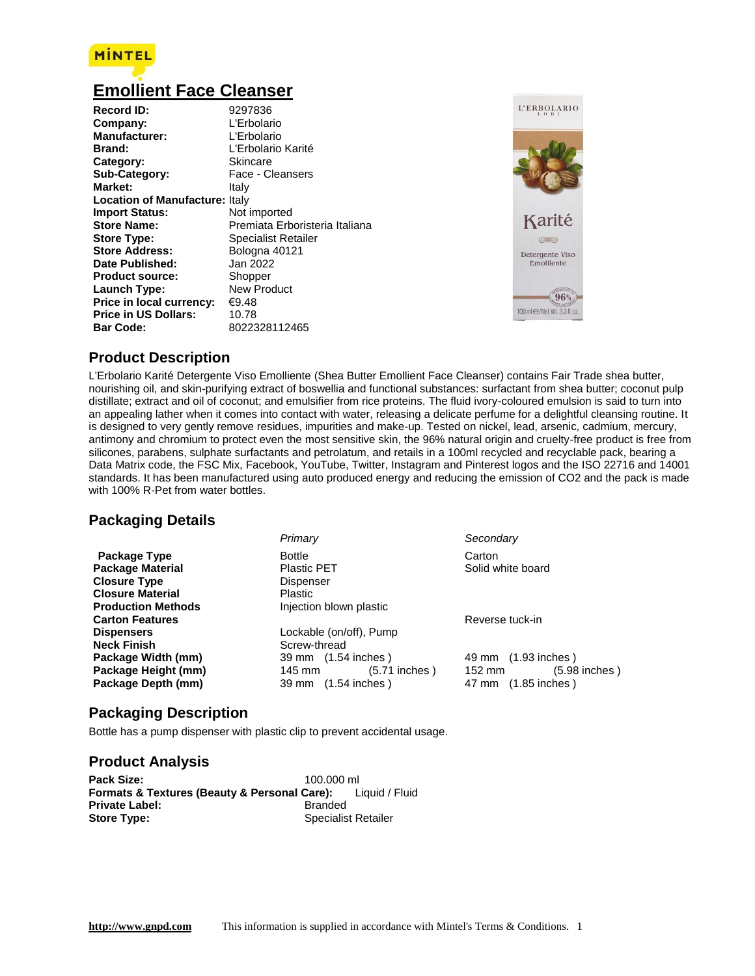

# **[Emollient Face Cleanser](http://www.gnpd.com/sinatra/recordpage/9297836/?utm_source=download&utm_medium=rtf)**

| <b>Record ID:</b><br>Company:<br><b>Manufacturer:</b><br>Brand:<br>Category:<br>Sub-Category:<br>Market: | 9297836<br>L'Erbolario<br>L'Erbolario<br>L'Erbolario Karité<br>Skincare<br>Face - Cleansers<br>Italy |
|----------------------------------------------------------------------------------------------------------|------------------------------------------------------------------------------------------------------|
| <b>Location of Manufacture: Italy</b>                                                                    |                                                                                                      |
| <b>Import Status:</b>                                                                                    | Not imported                                                                                         |
| <b>Store Name:</b>                                                                                       | Premiata Erboristeria Italiana                                                                       |
| <b>Store Type:</b>                                                                                       | <b>Specialist Retailer</b>                                                                           |
| <b>Store Address:</b>                                                                                    | Bologna 40121                                                                                        |
| Date Published:                                                                                          | Jan 2022                                                                                             |
| <b>Product source:</b>                                                                                   | Shopper                                                                                              |
| Launch Type:                                                                                             | New Product                                                                                          |
| Price in local currency:                                                                                 | €9.48                                                                                                |
| <b>Price in US Dollars:</b>                                                                              | 10.78                                                                                                |
| <b>Bar Code:</b>                                                                                         | 8022328112465                                                                                        |



### **Product Description**

L'Erbolario Karité Detergente Viso Emolliente (Shea Butter Emollient Face Cleanser) contains Fair Trade shea butter, nourishing oil, and skin-purifying extract of boswellia and functional substances: surfactant from shea butter; coconut pulp distillate; extract and oil of coconut; and emulsifier from rice proteins. The fluid ivory-coloured emulsion is said to turn into an appealing lather when it comes into contact with water, releasing a delicate perfume for a delightful cleansing routine. It is designed to very gently remove residues, impurities and make-up. Tested on nickel, lead, arsenic, cadmium, mercury, antimony and chromium to protect even the most sensitive skin, the 96% natural origin and cruelty-free product is free from silicones, parabens, sulphate surfactants and petrolatum, and retails in a 100ml recycled and recyclable pack, bearing a Data Matrix code, the FSC Mix, Facebook, YouTube, Twitter, Instagram and Pinterest logos and the ISO 22716 and 14001 standards. It has been manufactured using auto produced energy and reducing the emission of CO2 and the pack is made with 100% R-Pet from water bottles.

### **Packaging Details**

|                           | Primary                      | Secondary                    |
|---------------------------|------------------------------|------------------------------|
| Package Type              | <b>Bottle</b>                | Carton                       |
| <b>Package Material</b>   | <b>Plastic PET</b>           | Solid white board            |
| <b>Closure Type</b>       | Dispenser                    |                              |
| <b>Closure Material</b>   | <b>Plastic</b>               |                              |
| <b>Production Methods</b> | Injection blown plastic      |                              |
| <b>Carton Features</b>    |                              | Reverse tuck-in              |
| <b>Dispensers</b>         | Lockable (on/off), Pump      |                              |
| <b>Neck Finish</b>        | Screw-thread                 |                              |
| Package Width (mm)        | 39 mm (1.54 inches)          | 49 mm (1.93 inches)          |
| Package Height (mm)       | $(5.71$ inches $)$<br>145 mm | $(5.98$ inches $)$<br>152 mm |
| Package Depth (mm)        | 39 mm (1.54 inches)          | 47 mm (1.85 inches)          |

### **Packaging Description**

Bottle has a pump dispenser with plastic clip to prevent accidental usage.

### **Product Analysis**

| Pack Size:                                   | 100.000 ml     |                            |
|----------------------------------------------|----------------|----------------------------|
| Formats & Textures (Beauty & Personal Care): |                | Liquid / Fluid             |
| <b>Private Label:</b>                        | <b>Branded</b> |                            |
| <b>Store Type:</b>                           |                | <b>Specialist Retailer</b> |